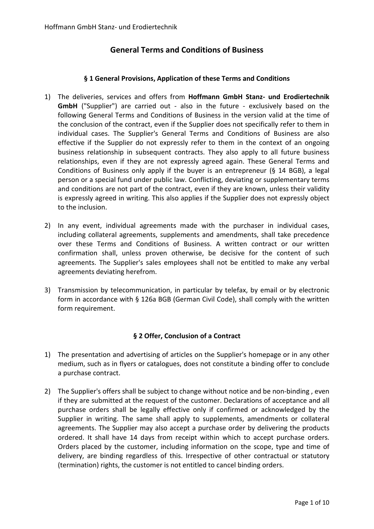# **General Terms and Conditions of Business**

#### **§ 1 General Provisions, Application of these Terms and Conditions**

- 1) The deliveries, services and offers from **Hoffmann GmbH Stanz- und Erodiertechnik GmbH** ("Supplier") are carried out - also in the future - exclusively based on the following General Terms and Conditions of Business in the version valid at the time of the conclusion of the contract, even if the Supplier does not specifically refer to them in individual cases. The Supplier's General Terms and Conditions of Business are also effective if the Supplier do not expressly refer to them in the context of an ongoing business relationship in subsequent contracts. They also apply to all future business relationships, even if they are not expressly agreed again. These General Terms and Conditions of Business only apply if the buyer is an entrepreneur (§ 14 BGB), a legal person or a special fund under public law. Conflicting, deviating or supplementary terms and conditions are not part of the contract, even if they are known, unless their validity is expressly agreed in writing. This also applies if the Supplier does not expressly object to the inclusion.
- 2) In any event, individual agreements made with the purchaser in individual cases, including collateral agreements, supplements and amendments, shall take precedence over these Terms and Conditions of Business. A written contract or our written confirmation shall, unless proven otherwise, be decisive for the content of such agreements. The Supplier's sales employees shall not be entitled to make any verbal agreements deviating herefrom.
- 3) Transmission by telecommunication, in particular by telefax, by email or by electronic form in accordance with § 126a BGB (German Civil Code), shall comply with the written form requirement.

# **§ 2 Offer, Conclusion of a Contract**

- 1) The presentation and advertising of articles on the Supplier's homepage or in any other medium, such as in flyers or catalogues, does not constitute a binding offer to conclude a purchase contract.
- 2) The Supplier's offers shall be subject to change without notice and be non-binding , even if they are submitted at the request of the customer. Declarations of acceptance and all purchase orders shall be legally effective only if confirmed or acknowledged by the Supplier in writing. The same shall apply to supplements, amendments or collateral agreements. The Supplier may also accept a purchase order by delivering the products ordered. It shall have 14 days from receipt within which to accept purchase orders. Orders placed by the customer, including information on the scope, type and time of delivery, are binding regardless of this. Irrespective of other contractual or statutory (termination) rights, the customer is not entitled to cancel binding orders.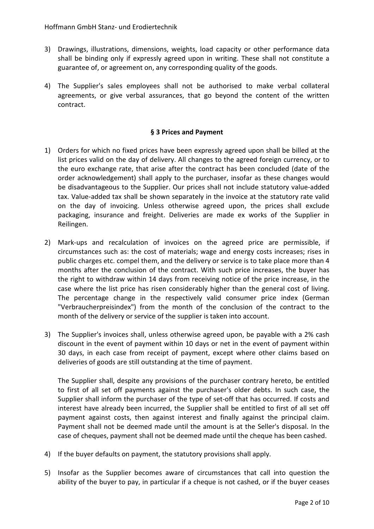- 3) Drawings, illustrations, dimensions, weights, load capacity or other performance data shall be binding only if expressly agreed upon in writing. These shall not constitute a guarantee of, or agreement on, any corresponding quality of the goods.
- 4) The Supplier's sales employees shall not be authorised to make verbal collateral agreements, or give verbal assurances, that go beyond the content of the written contract.

### **§ 3 Prices and Payment**

- 1) Orders for which no fixed prices have been expressly agreed upon shall be billed at the list prices valid on the day of delivery. All changes to the agreed foreign currency, or to the euro exchange rate, that arise after the contract has been concluded (date of the order acknowledgement) shall apply to the purchaser, insofar as these changes would be disadvantageous to the Supplier. Our prices shall not include statutory value-added tax. Value-added tax shall be shown separately in the invoice at the statutory rate valid on the day of invoicing. Unless otherwise agreed upon, the prices shall exclude packaging, insurance and freight. Deliveries are made ex works of the Supplier in Reilingen.
- 2) Mark-ups and recalculation of invoices on the agreed price are permissible, if circumstances such as: the cost of materials; wage and energy costs increases; rises in public charges etc. compel them, and the delivery or service is to take place more than 4 months after the conclusion of the contract. With such price increases, the buyer has the right to withdraw within 14 days from receiving notice of the price increase, in the case where the list price has risen considerably higher than the general cost of living. The percentage change in the respectively valid consumer price index (German "Verbraucherpreisindex") from the month of the conclusion of the contract to the month of the delivery or service of the supplier is taken into account.
- 3) The Supplier's invoices shall, unless otherwise agreed upon, be payable with a 2% cash discount in the event of payment within 10 days or net in the event of payment within 30 days, in each case from receipt of payment, except where other claims based on deliveries of goods are still outstanding at the time of payment.

The Supplier shall, despite any provisions of the purchaser contrary hereto, be entitled to first of all set off payments against the purchaser's older debts. In such case, the Supplier shall inform the purchaser of the type of set-off that has occurred. If costs and interest have already been incurred, the Supplier shall be entitled to first of all set off payment against costs, then against interest and finally against the principal claim. Payment shall not be deemed made until the amount is at the Seller's disposal. In the case of cheques, payment shall not be deemed made until the cheque has been cashed.

- 4) If the buyer defaults on payment, the statutory provisions shall apply.
- 5) Insofar as the Supplier becomes aware of circumstances that call into question the ability of the buyer to pay, in particular if a cheque is not cashed, or if the buyer ceases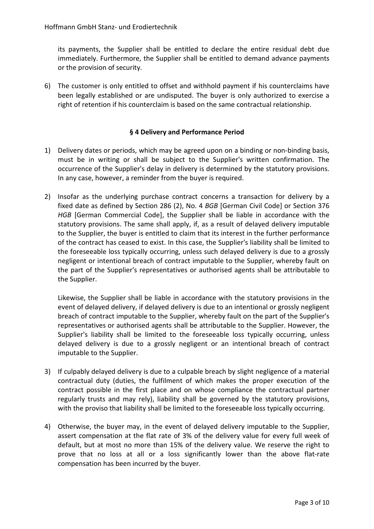its payments, the Supplier shall be entitled to declare the entire residual debt due immediately. Furthermore, the Supplier shall be entitled to demand advance payments or the provision of security.

6) The customer is only entitled to offset and withhold payment if his counterclaims have been legally established or are undisputed. The buyer is only authorized to exercise a right of retention if his counterclaim is based on the same contractual relationship.

# **§ 4 Delivery and Performance Period**

- 1) Delivery dates or periods, which may be agreed upon on a binding or non-binding basis, must be in writing or shall be subject to the Supplier's written confirmation. The occurrence of the Supplier's delay in delivery is determined by the statutory provisions. In any case, however, a reminder from the buyer is required.
- 2) Insofar as the underlying purchase contract concerns a transaction for delivery by a fixed date as defined by Section 286 (2), No. 4 *BGB* [German Civil Code] or Section 376 *HGB* [German Commercial Code], the Supplier shall be liable in accordance with the statutory provisions. The same shall apply, if, as a result of delayed delivery imputable to the Supplier, the buyer is entitled to claim that its interest in the further performance of the contract has ceased to exist. In this case, the Supplier's liability shall be limited to the foreseeable loss typically occurring, unless such delayed delivery is due to a grossly negligent or intentional breach of contract imputable to the Supplier, whereby fault on the part of the Supplier's representatives or authorised agents shall be attributable to the Supplier.

Likewise, the Supplier shall be liable in accordance with the statutory provisions in the event of delayed delivery, if delayed delivery is due to an intentional or grossly negligent breach of contract imputable to the Supplier, whereby fault on the part of the Supplier's representatives or authorised agents shall be attributable to the Supplier. However, the Supplier's liability shall be limited to the foreseeable loss typically occurring, unless delayed delivery is due to a grossly negligent or an intentional breach of contract imputable to the Supplier.

- 3) If culpably delayed delivery is due to a culpable breach by slight negligence of a material contractual duty (duties, the fulfilment of which makes the proper execution of the contract possible in the first place and on whose compliance the contractual partner regularly trusts and may rely), liability shall be governed by the statutory provisions, with the proviso that liability shall be limited to the foreseeable loss typically occurring.
- 4) Otherwise, the buyer may, in the event of delayed delivery imputable to the Supplier, assert compensation at the flat rate of 3% of the delivery value for every full week of default, but at most no more than 15% of the delivery value. We reserve the right to prove that no loss at all or a loss significantly lower than the above flat-rate compensation has been incurred by the buyer.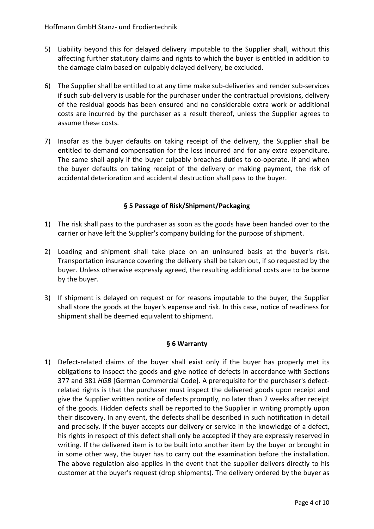- 5) Liability beyond this for delayed delivery imputable to the Supplier shall, without this affecting further statutory claims and rights to which the buyer is entitled in addition to the damage claim based on culpably delayed delivery, be excluded.
- 6) The Supplier shall be entitled to at any time make sub-deliveries and render sub-services if such sub-delivery is usable for the purchaser under the contractual provisions, delivery of the residual goods has been ensured and no considerable extra work or additional costs are incurred by the purchaser as a result thereof, unless the Supplier agrees to assume these costs.
- 7) Insofar as the buyer defaults on taking receipt of the delivery, the Supplier shall be entitled to demand compensation for the loss incurred and for any extra expenditure. The same shall apply if the buyer culpably breaches duties to co-operate. If and when the buyer defaults on taking receipt of the delivery or making payment, the risk of accidental deterioration and accidental destruction shall pass to the buyer.

### **§ 5 Passage of Risk/Shipment/Packaging**

- 1) The risk shall pass to the purchaser as soon as the goods have been handed over to the carrier or have left the Supplier's company building for the purpose of shipment.
- 2) Loading and shipment shall take place on an uninsured basis at the buyer's risk. Transportation insurance covering the delivery shall be taken out, if so requested by the buyer. Unless otherwise expressly agreed, the resulting additional costs are to be borne by the buyer.
- 3) If shipment is delayed on request or for reasons imputable to the buyer, the Supplier shall store the goods at the buyer's expense and risk. In this case, notice of readiness for shipment shall be deemed equivalent to shipment.

#### **§ 6 Warranty**

1) Defect-related claims of the buyer shall exist only if the buyer has properly met its obligations to inspect the goods and give notice of defects in accordance with Sections 377 and 381 *HGB* [German Commercial Code]. A prerequisite for the purchaser's defectrelated rights is that the purchaser must inspect the delivered goods upon receipt and give the Supplier written notice of defects promptly, no later than 2 weeks after receipt of the goods. Hidden defects shall be reported to the Supplier in writing promptly upon their discovery. In any event, the defects shall be described in such notification in detail and precisely. If the buyer accepts our delivery or service in the knowledge of a defect, his rights in respect of this defect shall only be accepted if they are expressly reserved in writing. If the delivered item is to be built into another item by the buyer or brought in in some other way, the buyer has to carry out the examination before the installation. The above regulation also applies in the event that the supplier delivers directly to his customer at the buyer's request (drop shipments). The delivery ordered by the buyer as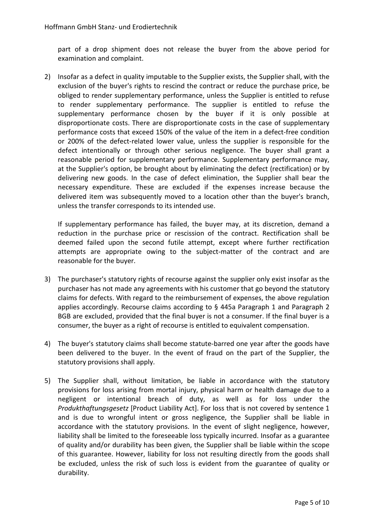part of a drop shipment does not release the buyer from the above period for examination and complaint.

2) Insofar as a defect in quality imputable to the Supplier exists, the Supplier shall, with the exclusion of the buyer's rights to rescind the contract or reduce the purchase price, be obliged to render supplementary performance, unless the Supplier is entitled to refuse to render supplementary performance. The supplier is entitled to refuse the supplementary performance chosen by the buyer if it is only possible at disproportionate costs. There are disproportionate costs in the case of supplementary performance costs that exceed 150% of the value of the item in a defect-free condition or 200% of the defect-related lower value, unless the supplier is responsible for the defect intentionally or through other serious negligence. The buyer shall grant a reasonable period for supplementary performance. Supplementary performance may, at the Supplier's option, be brought about by eliminating the defect (rectification) or by delivering new goods. In the case of defect elimination, the Supplier shall bear the necessary expenditure. These are excluded if the expenses increase because the delivered item was subsequently moved to a location other than the buyer's branch, unless the transfer corresponds to its intended use.

If supplementary performance has failed, the buyer may, at its discretion, demand a reduction in the purchase price or rescission of the contract. Rectification shall be deemed failed upon the second futile attempt, except where further rectification attempts are appropriate owing to the subject-matter of the contract and are reasonable for the buyer.

- 3) The purchaser's statutory rights of recourse against the supplier only exist insofar as the purchaser has not made any agreements with his customer that go beyond the statutory claims for defects. With regard to the reimbursement of expenses, the above regulation applies accordingly. Recourse claims according to § 445a Paragraph 1 and Paragraph 2 BGB are excluded, provided that the final buyer is not a consumer. If the final buyer is a consumer, the buyer as a right of recourse is entitled to equivalent compensation.
- 4) The buyer's statutory claims shall become statute-barred one year after the goods have been delivered to the buyer. In the event of fraud on the part of the Supplier, the statutory provisions shall apply.
- 5) The Supplier shall, without limitation, be liable in accordance with the statutory provisions for loss arising from mortal injury, physical harm or health damage due to a negligent or intentional breach of duty, as well as for loss under the *Produkthaftungsgesetz* [Product Liability Act]. For loss that is not covered by sentence 1 and is due to wrongful intent or gross negligence, the Supplier shall be liable in accordance with the statutory provisions. In the event of slight negligence, however, liability shall be limited to the foreseeable loss typically incurred. Insofar as a guarantee of quality and/or durability has been given, the Supplier shall be liable within the scope of this guarantee. However, liability for loss not resulting directly from the goods shall be excluded, unless the risk of such loss is evident from the guarantee of quality or durability.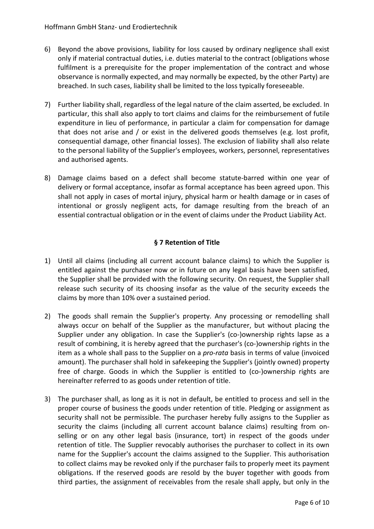- 6) Beyond the above provisions, liability for loss caused by ordinary negligence shall exist only if material contractual duties, i.e. duties material to the contract (obligations whose fulfilment is a prerequisite for the proper implementation of the contract and whose observance is normally expected, and may normally be expected, by the other Party) are breached. In such cases, liability shall be limited to the loss typically foreseeable.
- 7) Further liability shall, regardless of the legal nature of the claim asserted, be excluded. In particular, this shall also apply to tort claims and claims for the reimbursement of futile expenditure in lieu of performance, in particular a claim for compensation for damage that does not arise and / or exist in the delivered goods themselves (e.g. lost profit, consequential damage, other financial losses). The exclusion of liability shall also relate to the personal liability of the Supplier's employees, workers, personnel, representatives and authorised agents.
- 8) Damage claims based on a defect shall become statute-barred within one year of delivery or formal acceptance, insofar as formal acceptance has been agreed upon. This shall not apply in cases of mortal injury, physical harm or health damage or in cases of intentional or grossly negligent acts, for damage resulting from the breach of an essential contractual obligation or in the event of claims under the Product Liability Act.

# **§ 7 Retention of Title**

- 1) Until all claims (including all current account balance claims) to which the Supplier is entitled against the purchaser now or in future on any legal basis have been satisfied, the Supplier shall be provided with the following security. On request, the Supplier shall release such security of its choosing insofar as the value of the security exceeds the claims by more than 10% over a sustained period.
- 2) The goods shall remain the Supplier's property. Any processing or remodelling shall always occur on behalf of the Supplier as the manufacturer, but without placing the Supplier under any obligation. In case the Supplier's (co-)ownership rights lapse as a result of combining, it is hereby agreed that the purchaser's (co-)ownership rights in the item as a whole shall pass to the Supplier on a *pro-rata* basis in terms of value (invoiced amount). The purchaser shall hold in safekeeping the Supplier's (jointly owned) property free of charge. Goods in which the Supplier is entitled to (co-)ownership rights are hereinafter referred to as goods under retention of title.
- 3) The purchaser shall, as long as it is not in default, be entitled to process and sell in the proper course of business the goods under retention of title. Pledging or assignment as security shall not be permissible. The purchaser hereby fully assigns to the Supplier as security the claims (including all current account balance claims) resulting from onselling or on any other legal basis (insurance, tort) in respect of the goods under retention of title. The Supplier revocably authorises the purchaser to collect in its own name for the Supplier's account the claims assigned to the Supplier. This authorisation to collect claims may be revoked only if the purchaser fails to properly meet its payment obligations. If the reserved goods are resold by the buyer together with goods from third parties, the assignment of receivables from the resale shall apply, but only in the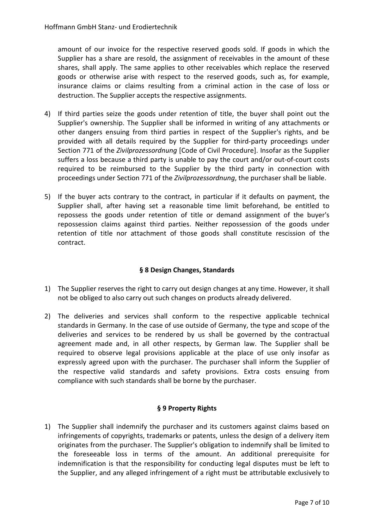amount of our invoice for the respective reserved goods sold. If goods in which the Supplier has a share are resold, the assignment of receivables in the amount of these shares, shall apply. The same applies to other receivables which replace the reserved goods or otherwise arise with respect to the reserved goods, such as, for example, insurance claims or claims resulting from a criminal action in the case of loss or destruction. The Supplier accepts the respective assignments.

- 4) If third parties seize the goods under retention of title, the buyer shall point out the Supplier's ownership. The Supplier shall be informed in writing of any attachments or other dangers ensuing from third parties in respect of the Supplier's rights, and be provided with all details required by the Supplier for third-party proceedings under Section 771 of the *Zivilprozessordnung* [Code of Civil Procedure]. Insofar as the Supplier suffers a loss because a third party is unable to pay the court and/or out-of-court costs required to be reimbursed to the Supplier by the third party in connection with proceedings under Section 771 of the *Zivilprozessordnung*, the purchaser shall be liable.
- 5) If the buyer acts contrary to the contract, in particular if it defaults on payment, the Supplier shall, after having set a reasonable time limit beforehand, be entitled to repossess the goods under retention of title or demand assignment of the buyer's repossession claims against third parties. Neither repossession of the goods under retention of title nor attachment of those goods shall constitute rescission of the contract.

# **§ 8 Design Changes, Standards**

- 1) The Supplier reserves the right to carry out design changes at any time. However, it shall not be obliged to also carry out such changes on products already delivered.
- 2) The deliveries and services shall conform to the respective applicable technical standards in Germany. In the case of use outside of Germany, the type and scope of the deliveries and services to be rendered by us shall be governed by the contractual agreement made and, in all other respects, by German law. The Supplier shall be required to observe legal provisions applicable at the place of use only insofar as expressly agreed upon with the purchaser. The purchaser shall inform the Supplier of the respective valid standards and safety provisions. Extra costs ensuing from compliance with such standards shall be borne by the purchaser.

# **§ 9 Property Rights**

1) The Supplier shall indemnify the purchaser and its customers against claims based on infringements of copyrights, trademarks or patents, unless the design of a delivery item originates from the purchaser. The Supplier's obligation to indemnify shall be limited to the foreseeable loss in terms of the amount. An additional prerequisite for indemnification is that the responsibility for conducting legal disputes must be left to the Supplier, and any alleged infringement of a right must be attributable exclusively to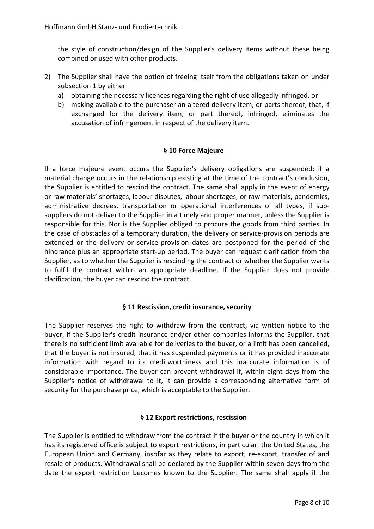the style of construction/design of the Supplier's delivery items without these being combined or used with other products.

- 2) The Supplier shall have the option of freeing itself from the obligations taken on under subsection 1 by either
	- a) obtaining the necessary licences regarding the right of use allegedly infringed, or
	- b) making available to the purchaser an altered delivery item, or parts thereof, that, if exchanged for the delivery item, or part thereof, infringed, eliminates the accusation of infringement in respect of the delivery item.

### **§ 10 Force Majeure**

If a force majeure event occurs the Supplier's delivery obligations are suspended; if a material change occurs in the relationship existing at the time of the contract's conclusion, the Supplier is entitled to rescind the contract. The same shall apply in the event of energy or raw materials' shortages, labour disputes, labour shortages; or raw materials, pandemics, administrative decrees, transportation or operational interferences of all types, if subsuppliers do not deliver to the Supplier in a timely and proper manner, unless the Supplier is responsible for this. Nor is the Supplier obliged to procure the goods from third parties. In the case of obstacles of a temporary duration, the delivery or service-provision periods are extended or the delivery or service-provision dates are postponed for the period of the hindrance plus an appropriate start-up period. The buyer can request clarification from the Supplier, as to whether the Supplier is rescinding the contract or whether the Supplier wants to fulfil the contract within an appropriate deadline. If the Supplier does not provide clarification, the buyer can rescind the contract.

#### **§ 11 Rescission, credit insurance, security**

The Supplier reserves the right to withdraw from the contract, via written notice to the buyer, if the Supplier's credit insurance and/or other companies informs the Supplier, that there is no sufficient limit available for deliveries to the buyer, or a limit has been cancelled, that the buyer is not insured, that it has suspended payments or it has provided inaccurate information with regard to its creditworthiness and this inaccurate information is of considerable importance. The buyer can prevent withdrawal if, within eight days from the Supplier's notice of withdrawal to it, it can provide a corresponding alternative form of security for the purchase price, which is acceptable to the Supplier.

#### **§ 12 Export restrictions, rescission**

The Supplier is entitled to withdraw from the contract if the buyer or the country in which it has its registered office is subject to export restrictions, in particular, the United States, the European Union and Germany, insofar as they relate to export, re-export, transfer of and resale of products. Withdrawal shall be declared by the Supplier within seven days from the date the export restriction becomes known to the Supplier. The same shall apply if the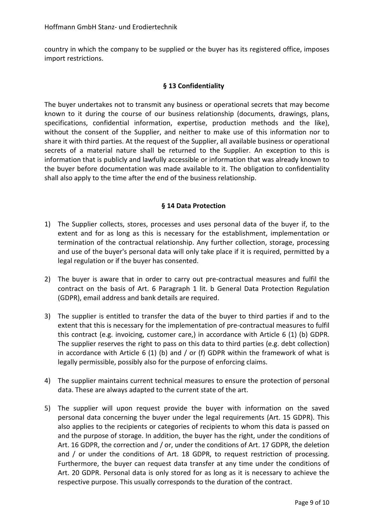country in which the company to be supplied or the buyer has its registered office, imposes import restrictions.

### **§ 13 Confidentiality**

The buyer undertakes not to transmit any business or operational secrets that may become known to it during the course of our business relationship (documents, drawings, plans, specifications, confidential information, expertise, production methods and the like), without the consent of the Supplier, and neither to make use of this information nor to share it with third parties. At the request of the Supplier, all available business or operational secrets of a material nature shall be returned to the Supplier. An exception to this is information that is publicly and lawfully accessible or information that was already known to the buyer before documentation was made available to it. The obligation to confidentiality shall also apply to the time after the end of the business relationship.

#### **§ 14 Data Protection**

- 1) The Supplier collects, stores, processes and uses personal data of the buyer if, to the extent and for as long as this is necessary for the establishment, implementation or termination of the contractual relationship. Any further collection, storage, processing and use of the buyer's personal data will only take place if it is required, permitted by a legal regulation or if the buyer has consented.
- 2) The buyer is aware that in order to carry out pre-contractual measures and fulfil the contract on the basis of Art. 6 Paragraph 1 lit. b General Data Protection Regulation (GDPR), email address and bank details are required.
- 3) The supplier is entitled to transfer the data of the buyer to third parties if and to the extent that this is necessary for the implementation of pre-contractual measures to fulfil this contract (e.g. invoicing, customer care,) in accordance with Article 6 (1) (b) GDPR. The supplier reserves the right to pass on this data to third parties (e.g. debt collection) in accordance with Article 6 (1) (b) and  $/$  or (f) GDPR within the framework of what is legally permissible, possibly also for the purpose of enforcing claims.
- 4) The supplier maintains current technical measures to ensure the protection of personal data. These are always adapted to the current state of the art.
- 5) The supplier will upon request provide the buyer with information on the saved personal data concerning the buyer under the legal requirements (Art. 15 GDPR). This also applies to the recipients or categories of recipients to whom this data is passed on and the purpose of storage. In addition, the buyer has the right, under the conditions of Art. 16 GDPR, the correction and / or, under the conditions of Art. 17 GDPR, the deletion and / or under the conditions of Art. 18 GDPR, to request restriction of processing. Furthermore, the buyer can request data transfer at any time under the conditions of Art. 20 GDPR. Personal data is only stored for as long as it is necessary to achieve the respective purpose. This usually corresponds to the duration of the contract.